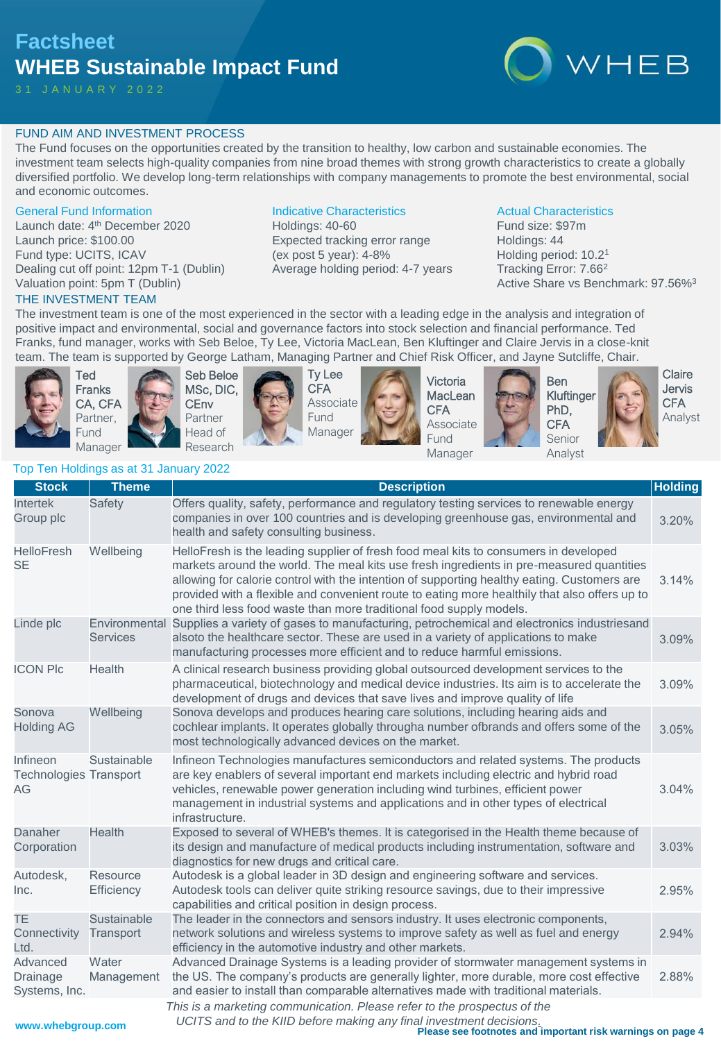# **Factsheet WHEB Sustainable Impact Fund**



# FUND AIM AND INVESTMENT PROCESS

The Fund focuses on the opportunities created by the transition to healthy, low carbon and sustainable economies. The investment team selects high-quality companies from nine broad themes with strong growth characteristics to create a globally diversified portfolio. We develop long-term relationships with company managements to promote the best environmental, social and economic outcomes.

### General Fund Information

Launch date: 4<sup>th</sup> December 2020 Launch price: \$100.00 Fund type: UCITS, ICAV Dealing cut off point: 12pm T-1 (Dublin) Valuation point: 5pm T (Dublin)

### THE INVESTMENT TEAM

Indicative Characteristics

Holdings: 40-60 Expected tracking error range (ex post 5 year): 4-8% Average holding period: 4-7 years

### Actual Characteristics

Fund size: \$97m Holdings: 44 Holding period: 10.2<sup>1</sup> Tracking Error: 7.66<sup>2</sup> Active Share vs Benchmark: 97.56%<sup>3</sup>

The investment team is one of the most experienced in the sector with a leading edge in the analysis and integration of positive impact and environmental, social and governance factors into stock selection and financial performance. Ted Franks, fund manager, works with Seb Beloe, Ty Lee, Victoria MacLean, Ben Kluftinger and Claire Jervis in a close-knit team. The team is supported by George Latham, Managing Partner and Chief Risk Officer, and Jayne Sutcliffe, Chair.



Ted Franks CA, CFA Partner, Fund Manager





Ty Lee **CFA** Associate Fund Manager



Victoria **MacLean CFA** Associate Fund Manager





**Claire** Jervis **CFA** Analyst

## Top Ten Holdings as at 31 January 2022

| <b>Stock</b>                                    | <b>Theme</b>                     | <b>Description</b>                                                                                                                                                                                                                                                                                                                                                                                                                                      | <b>Holding</b> |
|-------------------------------------------------|----------------------------------|---------------------------------------------------------------------------------------------------------------------------------------------------------------------------------------------------------------------------------------------------------------------------------------------------------------------------------------------------------------------------------------------------------------------------------------------------------|----------------|
| <b>Intertek</b><br>Group plc                    | Safety                           | Offers quality, safety, performance and regulatory testing services to renewable energy<br>companies in over 100 countries and is developing greenhouse gas, environmental and<br>health and safety consulting business.                                                                                                                                                                                                                                | 3.20%          |
| <b>HelloFresh</b><br><b>SE</b>                  | Wellbeing                        | HelloFresh is the leading supplier of fresh food meal kits to consumers in developed<br>markets around the world. The meal kits use fresh ingredients in pre-measured quantities<br>allowing for calorie control with the intention of supporting healthy eating. Customers are<br>provided with a flexible and convenient route to eating more healthily that also offers up to<br>one third less food waste than more traditional food supply models. | 3.14%          |
| Linde plc                                       | Environmental<br><b>Services</b> | Supplies a variety of gases to manufacturing, petrochemical and electronics industriesand<br>alsoto the healthcare sector. These are used in a variety of applications to make<br>manufacturing processes more efficient and to reduce harmful emissions.                                                                                                                                                                                               | 3.09%          |
| <b>ICON PIC</b>                                 | Health                           | A clinical research business providing global outsourced development services to the<br>pharmaceutical, biotechnology and medical device industries. Its aim is to accelerate the<br>development of drugs and devices that save lives and improve quality of life                                                                                                                                                                                       | 3.09%          |
| Sonova<br><b>Holding AG</b>                     | Wellbeing                        | Sonova develops and produces hearing care solutions, including hearing aids and<br>cochlear implants. It operates globally througha number ofbrands and offers some of the<br>most technologically advanced devices on the market.                                                                                                                                                                                                                      | 3.05%          |
| Infineon<br><b>Technologies Transport</b><br>AG | Sustainable                      | Infineon Technologies manufactures semiconductors and related systems. The products<br>are key enablers of several important end markets including electric and hybrid road<br>vehicles, renewable power generation including wind turbines, efficient power<br>management in industrial systems and applications and in other types of electrical<br>infrastructure.                                                                                   | 3.04%          |
| Danaher<br>Corporation                          | <b>Health</b>                    | Exposed to several of WHEB's themes. It is categorised in the Health theme because of<br>its design and manufacture of medical products including instrumentation, software and<br>diagnostics for new drugs and critical care.                                                                                                                                                                                                                         | 3.03%          |
| Autodesk,<br>Inc.                               | Resource<br>Efficiency           | Autodesk is a global leader in 3D design and engineering software and services.<br>Autodesk tools can deliver quite striking resource savings, due to their impressive<br>capabilities and critical position in design process.                                                                                                                                                                                                                         | 2.95%          |
| <b>TE</b><br>Connectivity<br>Ltd.               | <b>Sustainable</b><br>Transport  | The leader in the connectors and sensors industry. It uses electronic components,<br>network solutions and wireless systems to improve safety as well as fuel and energy<br>efficiency in the automotive industry and other markets.                                                                                                                                                                                                                    | 2.94%          |
| Advanced<br>Drainage<br>Systems, Inc.           | Water<br>Management              | Advanced Drainage Systems is a leading provider of stormwater management systems in<br>the US. The company's products are generally lighter, more durable, more cost effective<br>and easier to install than comparable alternatives made with traditional materials.                                                                                                                                                                                   | 2.88%          |
| uning whoheraun on                              |                                  | This is a marketing communication. Please refer to the prospectus of the<br>UCITS and to the KIID before making any final investment decisions.                                                                                                                                                                                                                                                                                                         |                |

**www.whebgroup.com**

**Please see footnotes and important risk warnings on page 4**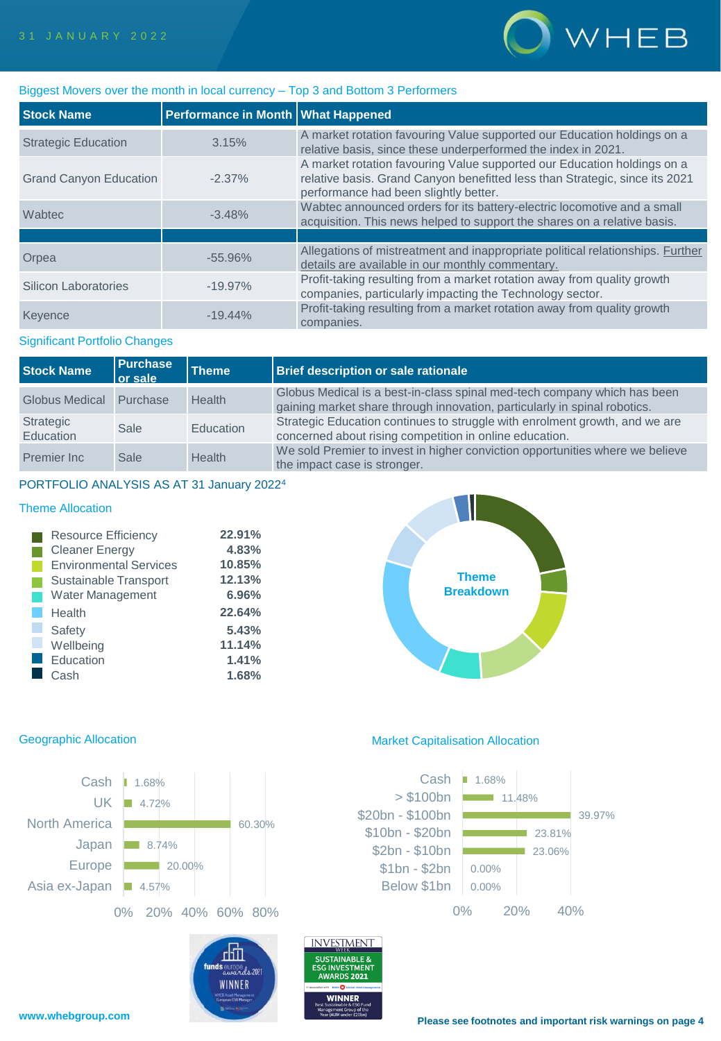

### Biggest Movers over the month in local currency – Top 3 and Bottom 3 Performers

| <b>Stock Name</b>             | Performance in Month   What Happened |                                                                                                                                                                                                 |
|-------------------------------|--------------------------------------|-------------------------------------------------------------------------------------------------------------------------------------------------------------------------------------------------|
| <b>Strategic Education</b>    | 3.15%                                | A market rotation favouring Value supported our Education holdings on a<br>relative basis, since these underperformed the index in 2021.                                                        |
| <b>Grand Canyon Education</b> | $-2.37\%$                            | A market rotation favouring Value supported our Education holdings on a<br>relative basis. Grand Canyon benefitted less than Strategic, since its 2021<br>performance had been slightly better. |
| Wabtec                        | $-3.48%$                             | Wabtec announced orders for its battery-electric locomotive and a small<br>acquisition. This news helped to support the shares on a relative basis.                                             |
|                               |                                      |                                                                                                                                                                                                 |
| Orpea                         | $-55.96%$                            | Allegations of mistreatment and inappropriate political relationships. Further<br>details are available in our monthly commentary.                                                              |
| Silicon Laboratories          | $-19.97\%$                           | Profit-taking resulting from a market rotation away from quality growth<br>companies, particularly impacting the Technology sector.                                                             |
| Keyence                       | $-19.44\%$                           | Profit-taking resulting from a market rotation away from quality growth<br>companies.                                                                                                           |

## Significant Portfolio Changes

| <b>Stock Name</b>      | <b>Purchase</b><br>or sale | <b>Theme</b>  | Brief description or sale rationale                                                                                                                   |
|------------------------|----------------------------|---------------|-------------------------------------------------------------------------------------------------------------------------------------------------------|
| Globus Medical         | Purchase                   | <b>Health</b> | Globus Medical is a best-in-class spinal med-tech company which has been<br>gaining market share through innovation, particularly in spinal robotics. |
| Strategic<br>Education | Sale                       | Education     | Strategic Education continues to struggle with enrolment growth, and we are<br>concerned about rising competition in online education.                |
| Premier Inc.           | <b>Sale</b>                | Health        | We sold Premier to invest in higher conviction opportunities where we believe<br>the impact case is stronger.                                         |

SUSTAINABLE &

SG INVESTMENT **NARDS 2021** 

### PORTFOLIO ANALYSIS AS AT 31 January 2022<sup>4</sup>

# Theme Allocation

| <b>Resource Efficiency</b>    | 22.91% |
|-------------------------------|--------|
| <b>Cleaner Energy</b>         | 4.83%  |
| <b>Environmental Services</b> | 10.85% |
| Sustainable Transport         | 12.13% |
| <b>Water Management</b>       | 6.96%  |
| Health                        | 22.64% |
| Safety                        | 5.43%  |
| Wellbeing                     | 11.14% |
| Education                     | 1.41%  |
| Cash                          | 1.68%  |





WINNER

Geographic Allocation **Market Capitalisation Allocation** 

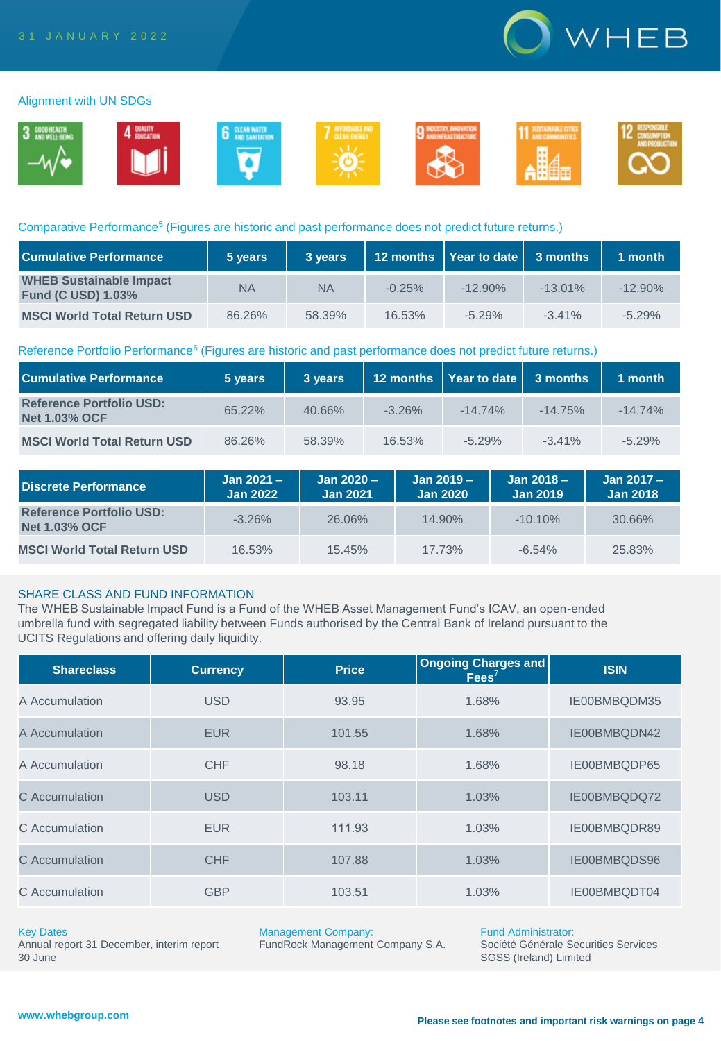

### Alignment with UN SDGs



### Comparative Performance<sup>5</sup> (Figures are historic and past performance does not predict future returns.)

| <b>Cumulative Performance</b>                               | 5 years | 3 years   |          | 12 months   Year to date   3 months |            | 1 month    |
|-------------------------------------------------------------|---------|-----------|----------|-------------------------------------|------------|------------|
| <b>WHEB Sustainable Impact</b><br><b>Fund (C USD) 1.03%</b> | ΝA      | <b>NA</b> | $-0.25%$ | $-12.90\%$                          | $-13.01\%$ | $-12.90\%$ |
| <b>MSCI World Total Return USD</b>                          | 86.26%  | 58.39%    | 16.53%   | $-5.29%$                            | $-341%$    | $-5.29\%$  |

### Reference Portfolio Performance<sup>6</sup> (Figures are historic and past performance does not predict future returns.)

| <b>Cumulative Performance</b>                           | 5 years | 3 years |           | 12 months   Year to date   3 months |            | $1$ month |
|---------------------------------------------------------|---------|---------|-----------|-------------------------------------|------------|-----------|
| <b>Reference Portfolio USD:</b><br><b>Net 1.03% OCF</b> | 65.22%  | 40.66%  | $-3.26%$  | $-14.74\%$                          | $-14.75\%$ | $-14.74%$ |
| <b>MSCI World Total Return USD</b>                      | 86.26%  | 58.39%  | $16.53\%$ | $-5.29%$                            | $-3.41\%$  | $-5.29%$  |

| Discrete Performance                                    | Jan $2021 -$<br><b>Jan 2022</b> | Jan $2020 -$<br><b>Jan 2021</b> | Jan $2019 -$<br><b>Jan 2020</b> | $Jan 2018 -$<br><b>Jan 2019</b> | Jan $2017 -$<br><b>Jan 2018</b> |
|---------------------------------------------------------|---------------------------------|---------------------------------|---------------------------------|---------------------------------|---------------------------------|
| <b>Reference Portfolio USD:</b><br><b>Net 1.03% OCF</b> | $-3.26%$                        | 26.06%                          | $14.90\%$                       | $-10.10\%$                      | 30.66%                          |
| <b>MSCI World Total Return USD</b>                      | 16.53%                          | 15.45%                          | 17.73%                          | $-6.54%$                        | 25.83%                          |

## SHARE CLASS AND FUND INFORMATION

The WHEB Sustainable Impact Fund is a Fund of the WHEB Asset Management Fund's ICAV, an open-ended umbrella fund with segregated liability between Funds authorised by the Central Bank of Ireland pursuant to the UCITS Regulations and offering daily liquidity.

| <b>Shareclass</b> | <b>Currency</b> | <b>Price</b> | Ongoing Charges and<br>$\text{Fees}^7$ | <b>ISIN</b>  |
|-------------------|-----------------|--------------|----------------------------------------|--------------|
| A Accumulation    | <b>USD</b>      | 93.95        | 1.68%                                  | IE00BMBQDM35 |
| A Accumulation    | <b>EUR</b>      | 101.55       | 1.68%                                  | IE00BMBQDN42 |
| A Accumulation    | <b>CHF</b>      | 98.18        | 1.68%                                  | IE00BMBQDP65 |
| C Accumulation    | <b>USD</b>      | 103.11       | 1.03%                                  | IE00BMBQDQ72 |
| C Accumulation    | <b>EUR</b>      | 111.93       | 1.03%                                  | IE00BMBQDR89 |
| C Accumulation    | <b>CHF</b>      | 107.88       | 1.03%                                  | IE00BMBQDS96 |
| C Accumulation    | <b>GBP</b>      | 103.51       | 1.03%                                  | IE00BMBQDT04 |

### Key Dates

Annual report 31 December, interim report 30 June

Management Company:

FundRock Management Company S.A.

Fund Administrator: Société Générale Securities Services SGSS (Ireland) Limited